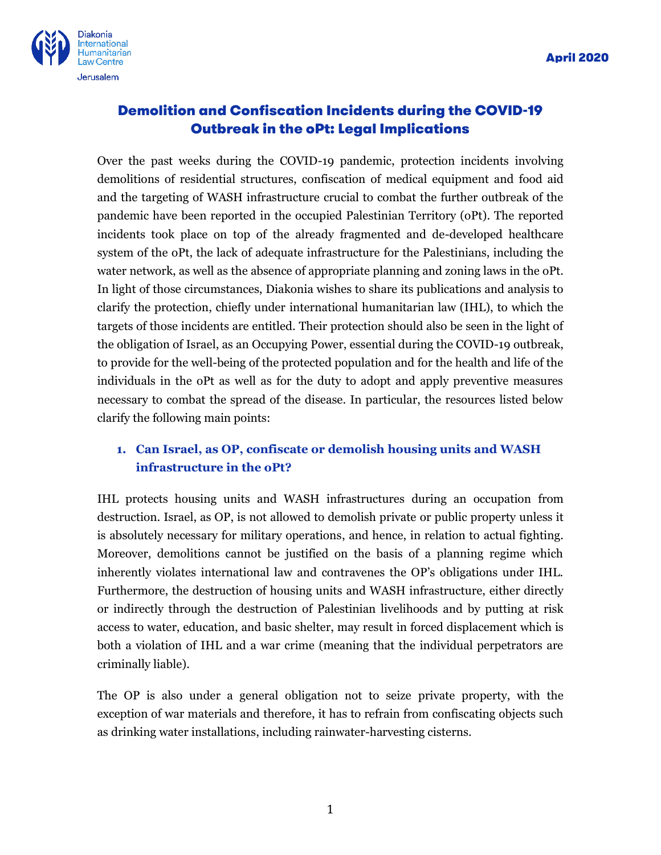

# Demolition and Confiscation Incidents during the COVID-19 Outbreak in the oPt: Legal Implications

Over the past weeks during the COVID-19 pandemic, protection incidents involving demolitions of residential structures, confiscation of medical equipment and food aid and the targeting of WASH infrastructure crucial to combat the further outbreak of the pandemic have been reported in the occupied Palestinian Territory (oPt). The reported incidents took place on top of the already fragmented and de-developed healthcare system of the oPt, the lack of adequate infrastructure for the Palestinians, including the water network, as well as the absence of appropriate planning and zoning laws in the oPt. In light of those circumstances, Diakonia wishes to share its publications and analysis to clarify the protection, chiefly under international humanitarian law (IHL), to which the targets of those incidents are entitled. Their protection should also be seen in the light of the obligation of Israel, as an Occupying Power, essential during the COVID-19 outbreak, to provide for the well-being of the protected population and for the health and life of the individuals in the oPt as well as for the duty to adopt and apply preventive measures necessary to combat the spread of the disease. In particular, the resources listed below clarify the following main points:

# **1. Can Israel, as OP, confiscate or demolish housing units and WASH infrastructure in the oPt?**

IHL protects housing units and WASH infrastructures during an occupation from destruction. Israel, as OP, is not allowed to demolish private or public property unless it is absolutely necessary for military operations, and hence, in relation to actual fighting. Moreover, demolitions cannot be justified on the basis of a planning regime which inherently violates international law and contravenes the OP's obligations under IHL. Furthermore, the destruction of housing units and WASH infrastructure, either directly or indirectly through the destruction of Palestinian livelihoods and by putting at risk access to water, education, and basic shelter, may result in forced displacement which is both a violation of IHL and a war crime (meaning that the individual perpetrators are criminally liable).

The OP is also under a general obligation not to seize private property, with the exception of war materials and therefore, it has to refrain from confiscating objects such as drinking water installations, including rainwater-harvesting cisterns.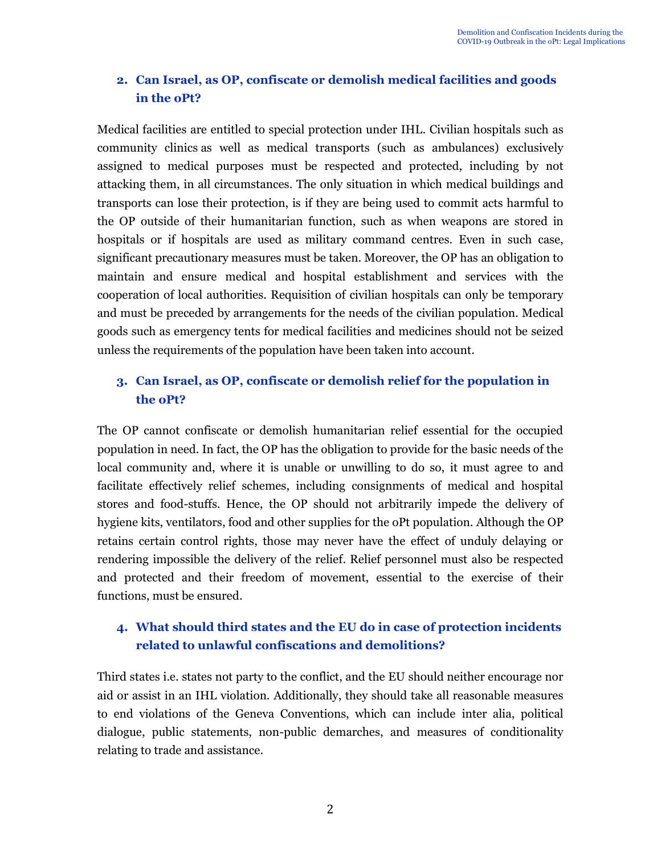# **2. Can Israel, as OP, confiscate or demolish medical facilities and goods in the oPt?**

Medical facilities are entitled to special protection under IHL. Civilian hospitals such as community clinics as well as medical transports (such as ambulances) exclusively assigned to medical purposes must be respected and protected, including by not attacking them, in all circumstances. The only situation in which medical buildings and transports can lose their protection, is if they are being used to commit acts harmful to the OP outside of their humanitarian function, such as when weapons are stored in hospitals or if hospitals are used as military command centres. Even in such case, significant precautionary measures must be taken. Moreover, the OP has an obligation to maintain and ensure medical and hospital establishment and services with the cooperation of local authorities. Requisition of civilian hospitals can only be temporary and must be preceded by arrangements for the needs of the civilian population. Medical goods such as emergency tents for medical facilities and medicines should not be seized unless the requirements of the population have been taken into account.

# **3. Can Israel, as OP, confiscate or demolish relief for the population in the oPt?**

The OP cannot confiscate or demolish humanitarian relief essential for the occupied population in need. In fact, the OP has the obligation to provide for the basic needs of the local community and, where it is unable or unwilling to do so, it must agree to and facilitate effectively relief schemes, including consignments of medical and hospital stores and food-stuffs. Hence, the OP should not arbitrarily impede the delivery of hygiene kits, ventilators, food and other supplies for the oPt population. Although the OP retains certain control rights, those may never have the effect of unduly delaying or rendering impossible the delivery of the relief. Relief personnel must also be respected and protected and their freedom of movement, essential to the exercise of their functions, must be ensured.

# **4. What should third states and the EU do in case of protection incidents related to unlawful confiscations and demolitions?**

Third states i.e. states not party to the conflict, and the EU should neither encourage nor aid or assist in an IHL violation. Additionally, they should take all reasonable measures to end violations of the Geneva Conventions, which can include inter alia, political dialogue, public statements, non-public demarches, and measures of conditionality relating to trade and assistance.